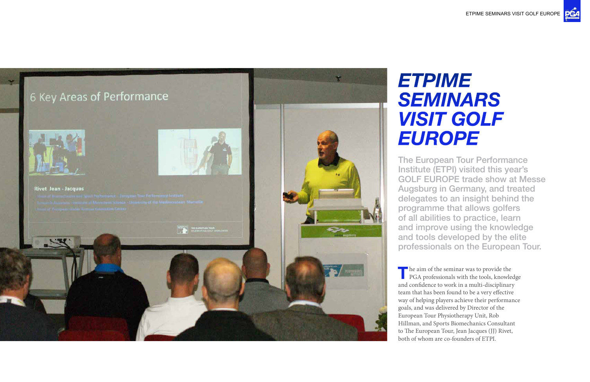The aim of the seminar was to provide the **PGA** professionals with the tools, knowledge and confdence to work in a multi-disciplinary team that has been found to be a very efective way of helping players achieve their performance goals, and was delivered by Director of the European Tour Physiotherapy Unit, Rob Hillman, and Sports Biomechanics Consultant to The European Tour, Jean Jacques (JJ) Rivet, both of whom are co-founders of ETPI.



## *ETPIME SEMINARS VISIT GOLF EUROPE*

The European Tour Performance Institute (ETPI) visited this year's GOLF EUROPE trade show at Messe Augsburg in Germany, and treated delegates to an insight behind the programme that allows golfers of all abilities to practice, learn and improve using the knowledge and tools developed by the elite professionals on the European Tour.